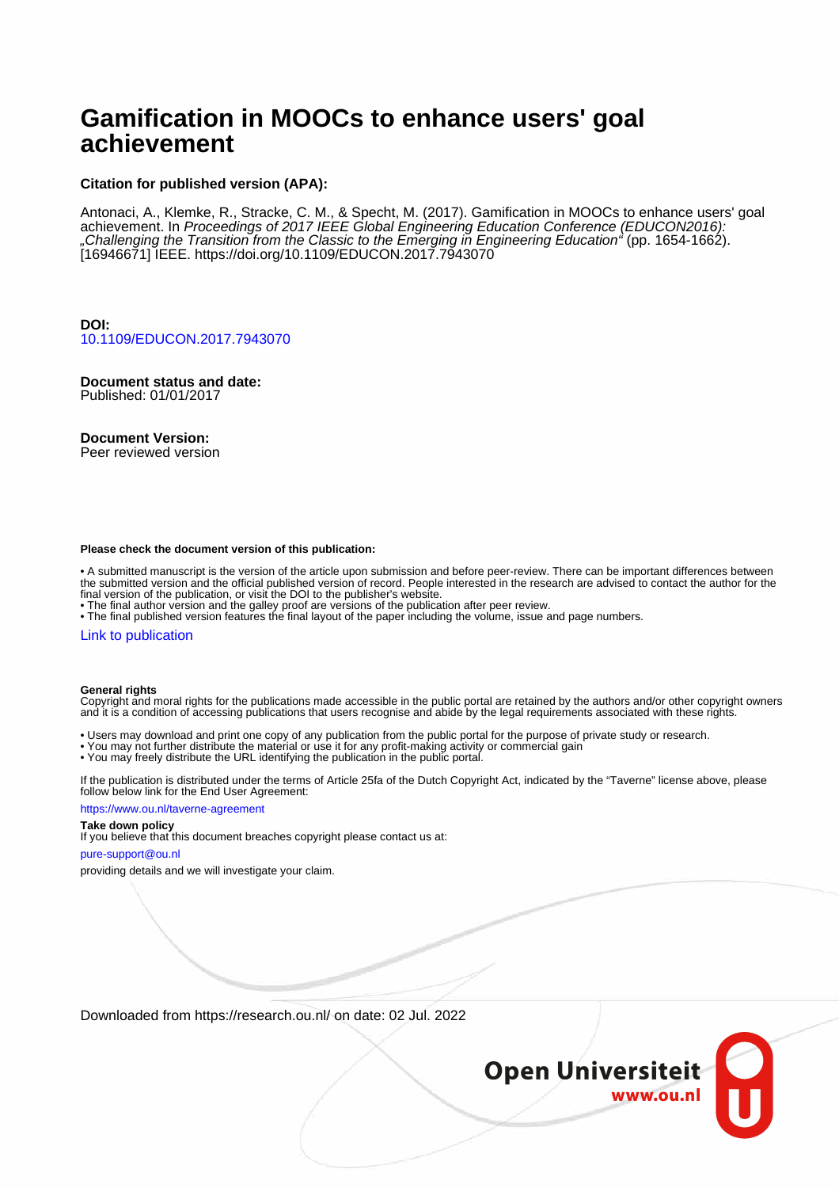# **Gamification in MOOCs to enhance users' goal achievement**

# **Citation for published version (APA):**

Antonaci, A., Klemke, R., Stracke, C. M., & Specht, M. (2017). Gamification in MOOCs to enhance users' goal achievement. In Proceedings of 2017 IEEE Global Engineering Education Conference (EDUCON2016): "Challenging the Transition from the Classic to the Emerging in Engineering Education" (pp. 1654-1662). [16946671] IEEE.<https://doi.org/10.1109/EDUCON.2017.7943070>

**DOI:** [10.1109/EDUCON.2017.7943070](https://doi.org/10.1109/EDUCON.2017.7943070)

**Document status and date:** Published: 01/01/2017

**Document Version:**

Peer reviewed version

#### **Please check the document version of this publication:**

• A submitted manuscript is the version of the article upon submission and before peer-review. There can be important differences between the submitted version and the official published version of record. People interested in the research are advised to contact the author for the final version of the publication, or visit the DOI to the publisher's website.

• The final author version and the galley proof are versions of the publication after peer review.

• The final published version features the final layout of the paper including the volume, issue and page numbers.

#### [Link to publication](https://research.ou.nl/en/publications/87200b61-9310-4f1c-90da-00e6c14bfdac)

#### **General rights**

Copyright and moral rights for the publications made accessible in the public portal are retained by the authors and/or other copyright owners and it is a condition of accessing publications that users recognise and abide by the legal requirements associated with these rights.

• Users may download and print one copy of any publication from the public portal for the purpose of private study or research.

- You may not further distribute the material or use it for any profit-making activity or commercial gain
- You may freely distribute the URL identifying the publication in the public portal.

If the publication is distributed under the terms of Article 25fa of the Dutch Copyright Act, indicated by the "Taverne" license above, please follow below link for the End User Agreement:

#### https://www.ou.nl/taverne-agreement

# **Take down policy**

If you believe that this document breaches copyright please contact us at:

#### pure-support@ou.nl

providing details and we will investigate your claim.

Downloaded from https://research.ou.nl/ on date: 02 Jul. 2022

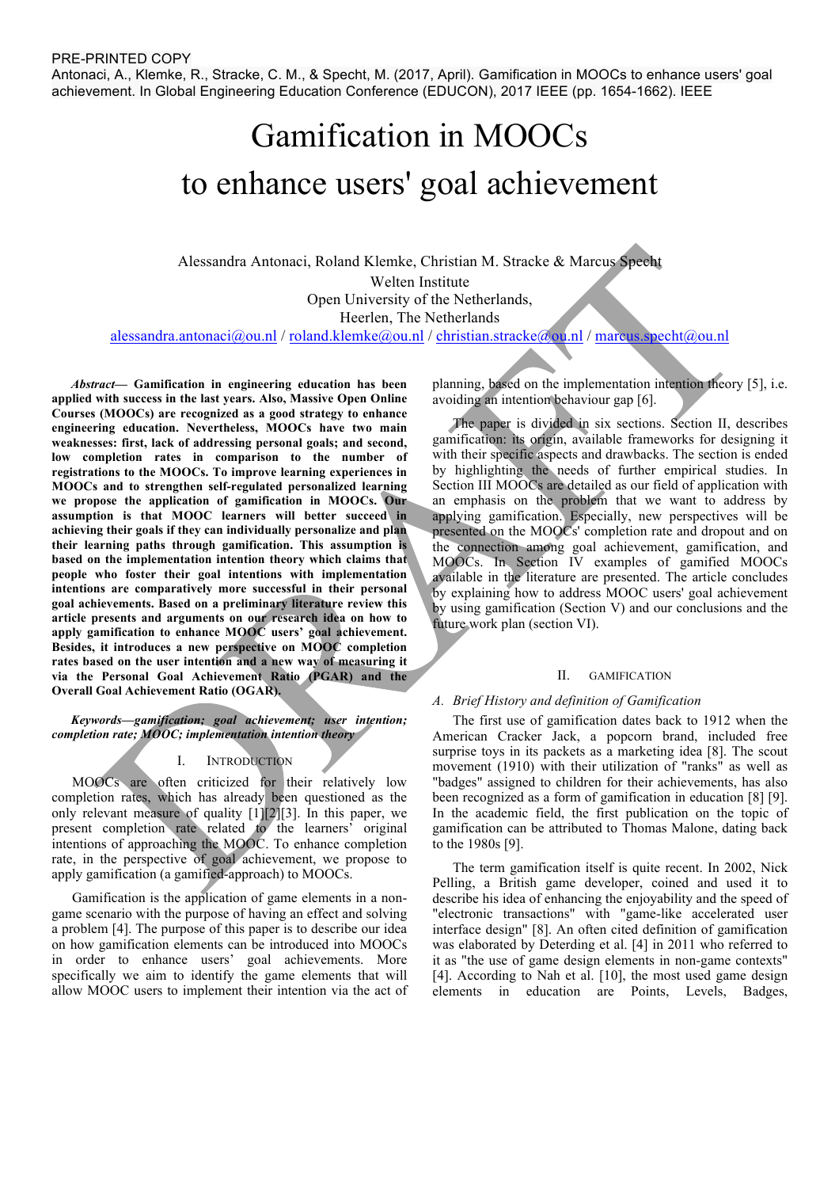Antonaci, A., Klemke, R., Stracke, C. M., & Specht, M. (2017, April). Gamification in MOOCs to enhance users' goal achievement. In Global Engineering Education Conference (EDUCON), 2017 IEEE (pp. 1654-1662). IEEE

# Gamification in MOOCs to enhance users' goal achievement

Alessandra Antonaci, Roland Klemke, Christian M. Stracke & Marcus Specht Welten Institute Open University of the Netherlands, Heerlen, The Netherlands alessandra.antonaci@ou.nl / roland.klemke@ou.nl / christian.stracke@ou.nl / marcus.specht@ou.nl

*Abstract***— Gamification in engineering education has been applied with success in the last years. Also, Massive Open Online Courses (MOOCs) are recognized as a good strategy to enhance engineering education. Nevertheless, MOOCs have two main weaknesses: first, lack of addressing personal goals; and second, low completion rates in comparison to the number of registrations to the MOOCs. To improve learning experiences in MOOCs and to strengthen self-regulated personalized learning we propose the application of gamification in MOOCs. Our assumption is that MOOC learners will better succeed in achieving their goals if they can individually personalize and plan their learning paths through gamification. This assumption is based on the implementation intention theory which claims that people who foster their goal intentions with implementation intentions are comparatively more successful in their personal goal achievements. Based on a preliminary literature review this article presents and arguments on our research idea on how to apply gamification to enhance MOOC users' goal achievement. Besides, it introduces a new perspective on MOOC completion rates based on the user intention and a new way of measuring it via the Personal Goal Achievement Ratio (PGAR) and the Overall Goal Achievement Ratio (OGAR).** 

*Keywords—gamification; goal achievement; user intention; completion rate; MOOC; implementation intention theory*

# I. INTRODUCTION

MOOCs are often criticized for their relatively low completion rates, which has already been questioned as the only relevant measure of quality [1][2][3]. In this paper, we present completion rate related to the learners' original intentions of approaching the MOOC. To enhance completion rate, in the perspective of goal achievement, we propose to apply gamification (a gamified-approach) to MOOCs.

Gamification is the application of game elements in a nongame scenario with the purpose of having an effect and solving a problem [4]. The purpose of this paper is to describe our idea on how gamification elements can be introduced into MOOCs in order to enhance users' goal achievements. More specifically we aim to identify the game elements that will allow MOOC users to implement their intention via the act of planning, based on the implementation intention theory [5], i.e. avoiding an intention behaviour gap [6].

The paper is divided in six sections. Section II, describes gamification: its origin, available frameworks for designing it with their specific aspects and drawbacks. The section is ended by highlighting the needs of further empirical studies. In Section III MOOCs are detailed as our field of application with an emphasis on the problem that we want to address by applying gamification. Especially, new perspectives will be presented on the MOOCs' completion rate and dropout and on the connection among goal achievement, gamification, and MOOCs. In Section IV examples of gamified MOOCs available in the literature are presented. The article concludes by explaining how to address MOOC users' goal achievement by using gamification (Section V) and our conclusions and the future work plan (section VI).

#### II. GAMIFICATION

#### *A. Brief History and definition of Gamification*

The first use of gamification dates back to 1912 when the American Cracker Jack, a popcorn brand, included free surprise toys in its packets as a marketing idea [8]. The scout movement (1910) with their utilization of "ranks" as well as "badges" assigned to children for their achievements, has also been recognized as a form of gamification in education [8] [9]. In the academic field, the first publication on the topic of gamification can be attributed to Thomas Malone, dating back to the 1980s [9].

The term gamification itself is quite recent. In 2002, Nick Pelling, a British game developer, coined and used it to describe his idea of enhancing the enjoyability and the speed of "electronic transactions" with "game-like accelerated user interface design" [8]. An often cited definition of gamification was elaborated by Deterding et al. [4] in 2011 who referred to it as "the use of game design elements in non-game contexts" [4]. According to Nah et al. [10], the most used game design elements in education are Points, Levels, Badges,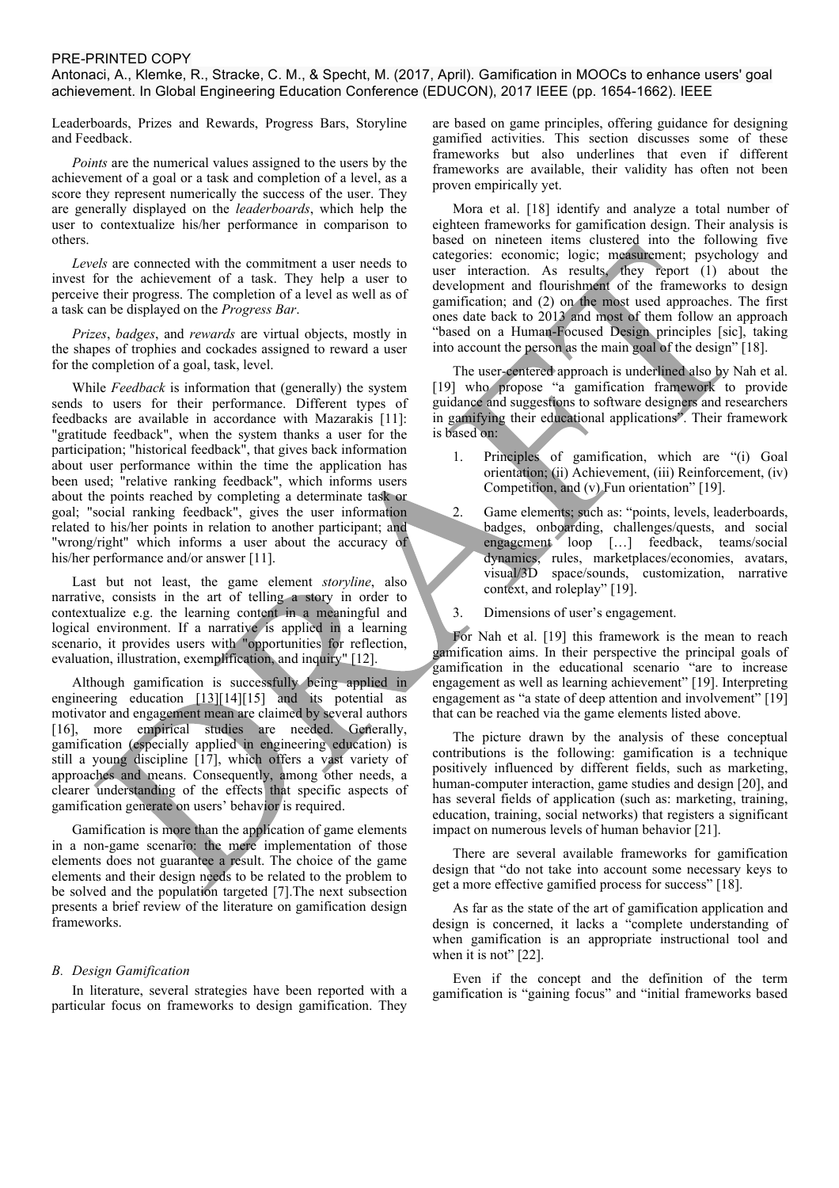Antonaci, A., Klemke, R., Stracke, C. M., & Specht, M. (2017, April). Gamification in MOOCs to enhance users' goal achievement. In Global Engineering Education Conference (EDUCON), 2017 IEEE (pp. 1654-1662). IEEE

Leaderboards, Prizes and Rewards, Progress Bars, Storyline and Feedback.

*Points* are the numerical values assigned to the users by the achievement of a goal or a task and completion of a level, as a score they represent numerically the success of the user. They are generally displayed on the *leaderboards*, which help the user to contextualize his/her performance in comparison to others.

*Levels* are connected with the commitment a user needs to invest for the achievement of a task. They help a user to perceive their progress. The completion of a level as well as of a task can be displayed on the *Progress Bar*.

*Prizes*, *badges*, and *rewards* are virtual objects, mostly in the shapes of trophies and cockades assigned to reward a user for the completion of a goal, task, level.

While *Feedback* is information that (generally) the system sends to users for their performance. Different types of feedbacks are available in accordance with Mazarakis [11]: "gratitude feedback", when the system thanks a user for the participation; "historical feedback", that gives back information about user performance within the time the application has been used; "relative ranking feedback", which informs users about the points reached by completing a determinate task or goal; "social ranking feedback", gives the user information related to his/her points in relation to another participant; and "wrong/right" which informs a user about the accuracy of his/her performance and/or answer [11].

Last but not least, the game element *storyline*, also narrative, consists in the art of telling a story in order to contextualize e.g. the learning content in a meaningful and logical environment. If a narrative is applied in a learning scenario, it provides users with "opportunities for reflection, evaluation, illustration, exemplification, and inquiry" [12].

Although gamification is successfully being applied in engineering education [13][14][15] and its potential as motivator and engagement mean are claimed by several authors [16], more empirical studies are needed. Generally, gamification (especially applied in engineering education) is still a young discipline [17], which offers a vast variety of approaches and means. Consequently, among other needs, a clearer understanding of the effects that specific aspects of gamification generate on users' behavior is required.

Gamification is more than the application of game elements in a non-game scenario: the mere implementation of those elements does not guarantee a result. The choice of the game elements and their design needs to be related to the problem to be solved and the population targeted [7].The next subsection presents a brief review of the literature on gamification design frameworks.

#### *B. Design Gamification*

In literature, several strategies have been reported with a particular focus on frameworks to design gamification. They

are based on game principles, offering guidance for designing gamified activities. This section discusses some of these frameworks but also underlines that even if different frameworks are available, their validity has often not been proven empirically yet.

Mora et al. [18] identify and analyze a total number of eighteen frameworks for gamification design. Their analysis is based on nineteen items clustered into the following five categories: economic; logic; measurement; psychology and user interaction. As results, they report (1) about the development and flourishment of the frameworks to design gamification; and (2) on the most used approaches. The first ones date back to 2013 and most of them follow an approach "based on a Human-Focused Design principles [sic], taking into account the person as the main goal of the design" [18].

The user-centered approach is underlined also by Nah et al. [19] who propose "a gamification framework to provide guidance and suggestions to software designers and researchers in gamifying their educational applications". Their framework is based on:

- 1. Principles of gamification, which are "(i) Goal orientation; (ii) Achievement, (iii) Reinforcement, (iv) Competition, and (v) Fun orientation" [19].
- 2. Game elements; such as: "points, levels, leaderboards, badges, onboarding, challenges/quests, and social engagement loop […] feedback, teams/social dynamics, rules, marketplaces/economies, avatars, visual/3D space/sounds, customization, narrative context, and roleplay" [19].
- 3. Dimensions of user's engagement.

For Nah et al. [19] this framework is the mean to reach gamification aims. In their perspective the principal goals of gamification in the educational scenario "are to increase engagement as well as learning achievement" [19]. Interpreting engagement as "a state of deep attention and involvement" [19] that can be reached via the game elements listed above.

The picture drawn by the analysis of these conceptual contributions is the following: gamification is a technique positively influenced by different fields, such as marketing, human-computer interaction, game studies and design [20], and has several fields of application (such as: marketing, training, education, training, social networks) that registers a significant impact on numerous levels of human behavior [21].

There are several available frameworks for gamification design that "do not take into account some necessary keys to get a more effective gamified process for success" [18].

As far as the state of the art of gamification application and design is concerned, it lacks a "complete understanding of when gamification is an appropriate instructional tool and when it is not" [22].

Even if the concept and the definition of the term gamification is "gaining focus" and "initial frameworks based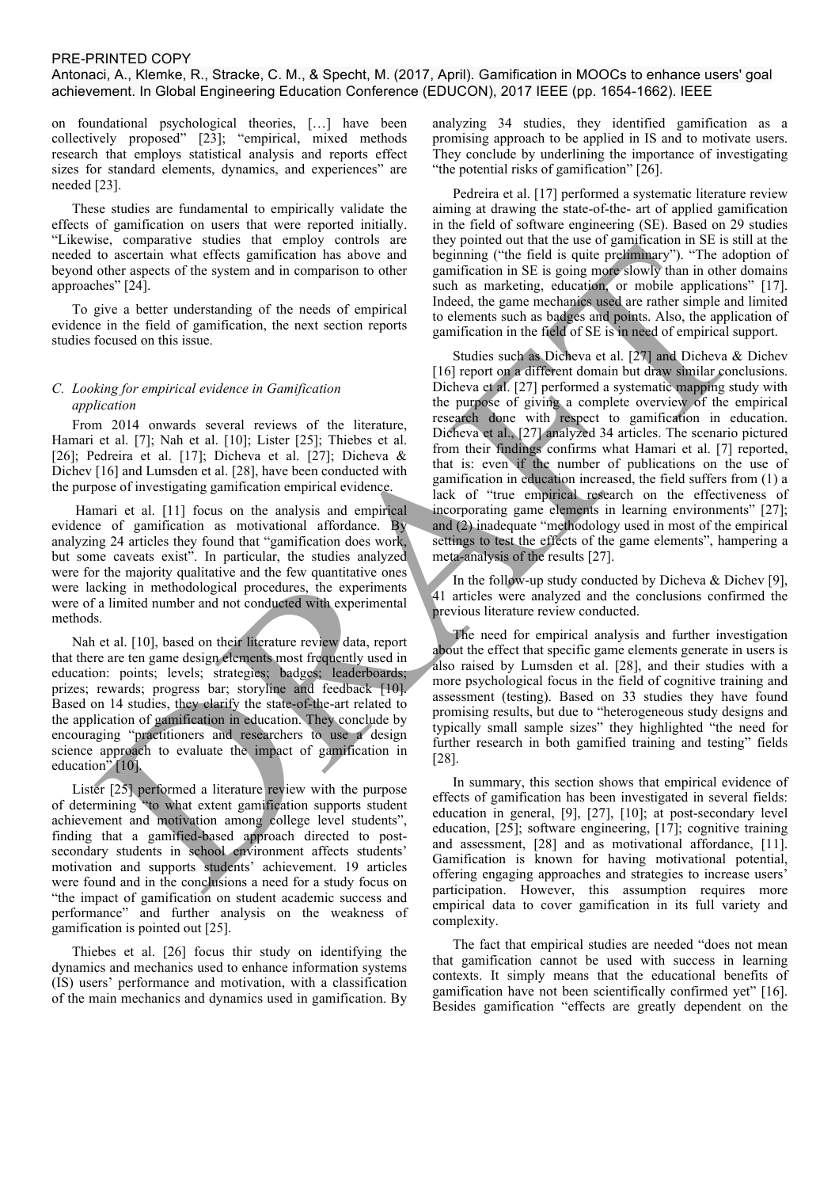Antonaci, A., Klemke, R., Stracke, C. M., & Specht, M. (2017, April). Gamification in MOOCs to enhance users' goal achievement. In Global Engineering Education Conference (EDUCON), 2017 IEEE (pp. 1654-1662). IEEE

on foundational psychological theories, […] have been collectively proposed" [23]; "empirical, mixed methods research that employs statistical analysis and reports effect sizes for standard elements, dynamics, and experiences" are needed [23].

These studies are fundamental to empirically validate the effects of gamification on users that were reported initially. "Likewise, comparative studies that employ controls are needed to ascertain what effects gamification has above and beyond other aspects of the system and in comparison to other approaches" [24].

To give a better understanding of the needs of empirical evidence in the field of gamification, the next section reports studies focused on this issue.

#### *C. Looking for empirical evidence in Gamification application*

From 2014 onwards several reviews of the literature, Hamari et al. [7]; Nah et al. [10]; Lister [25]; Thiebes et al. [26]; Pedreira et al. [17]; Dicheva et al. [27]; Dicheva & Dichev [16] and Lumsden et al. [28], have been conducted with the purpose of investigating gamification empirical evidence.

Hamari et al. [11] focus on the analysis and empirical evidence of gamification as motivational affordance. By analyzing 24 articles they found that "gamification does work, but some caveats exist". In particular, the studies analyzed were for the majority qualitative and the few quantitative ones were lacking in methodological procedures, the experiments were of a limited number and not conducted with experimental methods.

Nah et al. [10], based on their literature review data, report that there are ten game design elements most frequently used in education: points; levels; strategies; badges; leaderboards; prizes; rewards; progress bar; storyline and feedback [10]. Based on 14 studies, they clarify the state-of-the-art related to the application of gamification in education. They conclude by encouraging "practitioners and researchers to use a design science approach to evaluate the impact of gamification in education" [10].

Lister [25] performed a literature review with the purpose of determining "to what extent gamification supports student achievement and motivation among college level students", finding that a gamified-based approach directed to postsecondary students in school environment affects students' motivation and supports students' achievement. 19 articles were found and in the conclusions a need for a study focus on "the impact of gamification on student academic success and performance" and further analysis on the weakness of gamification is pointed out [25].

Thiebes et al. [26] focus thir study on identifying the dynamics and mechanics used to enhance information systems (IS) users' performance and motivation, with a classification of the main mechanics and dynamics used in gamification. By analyzing 34 studies, they identified gamification as a promising approach to be applied in IS and to motivate users. They conclude by underlining the importance of investigating "the potential risks of gamification" [26].

Pedreira et al. [17] performed a systematic literature review aiming at drawing the state-of-the- art of applied gamification in the field of software engineering (SE). Based on 29 studies they pointed out that the use of gamification in SE is still at the beginning ("the field is quite preliminary"). "The adoption of gamification in SE is going more slowly than in other domains such as marketing, education, or mobile applications" [17]. Indeed, the game mechanics used are rather simple and limited to elements such as badges and points. Also, the application of gamification in the field of SE is in need of empirical support.

Studies such as Dicheva et al. [27] and Dicheva & Dichev [16] report on a different domain but draw similar conclusions. Dicheva et al. [27] performed a systematic mapping study with the purpose of giving a complete overview of the empirical research done with respect to gamification in education. Dicheva et al., [27] analyzed 34 articles. The scenario pictured from their findings confirms what Hamari et al. [7] reported, that is: even if the number of publications on the use of gamification in education increased, the field suffers from (1) a lack of "true empirical research on the effectiveness of incorporating game elements in learning environments" [27]; and (2) inadequate "methodology used in most of the empirical settings to test the effects of the game elements", hampering a meta-analysis of the results [27].

In the follow-up study conducted by Dicheva  $\&$  Dichev [9], 41 articles were analyzed and the conclusions confirmed the previous literature review conducted.

The need for empirical analysis and further investigation about the effect that specific game elements generate in users is also raised by Lumsden et al. [28], and their studies with a more psychological focus in the field of cognitive training and assessment (testing). Based on 33 studies they have found promising results, but due to "heterogeneous study designs and typically small sample sizes" they highlighted "the need for further research in both gamified training and testing" fields [28].

In summary, this section shows that empirical evidence of effects of gamification has been investigated in several fields: education in general, [9], [27], [10]; at post-secondary level education, [25]; software engineering, [17]; cognitive training and assessment, [28] and as motivational affordance, [11]. Gamification is known for having motivational potential, offering engaging approaches and strategies to increase users' participation. However, this assumption requires more empirical data to cover gamification in its full variety and complexity.

The fact that empirical studies are needed "does not mean that gamification cannot be used with success in learning contexts. It simply means that the educational benefits of gamification have not been scientifically confirmed yet" [16]. Besides gamification "effects are greatly dependent on the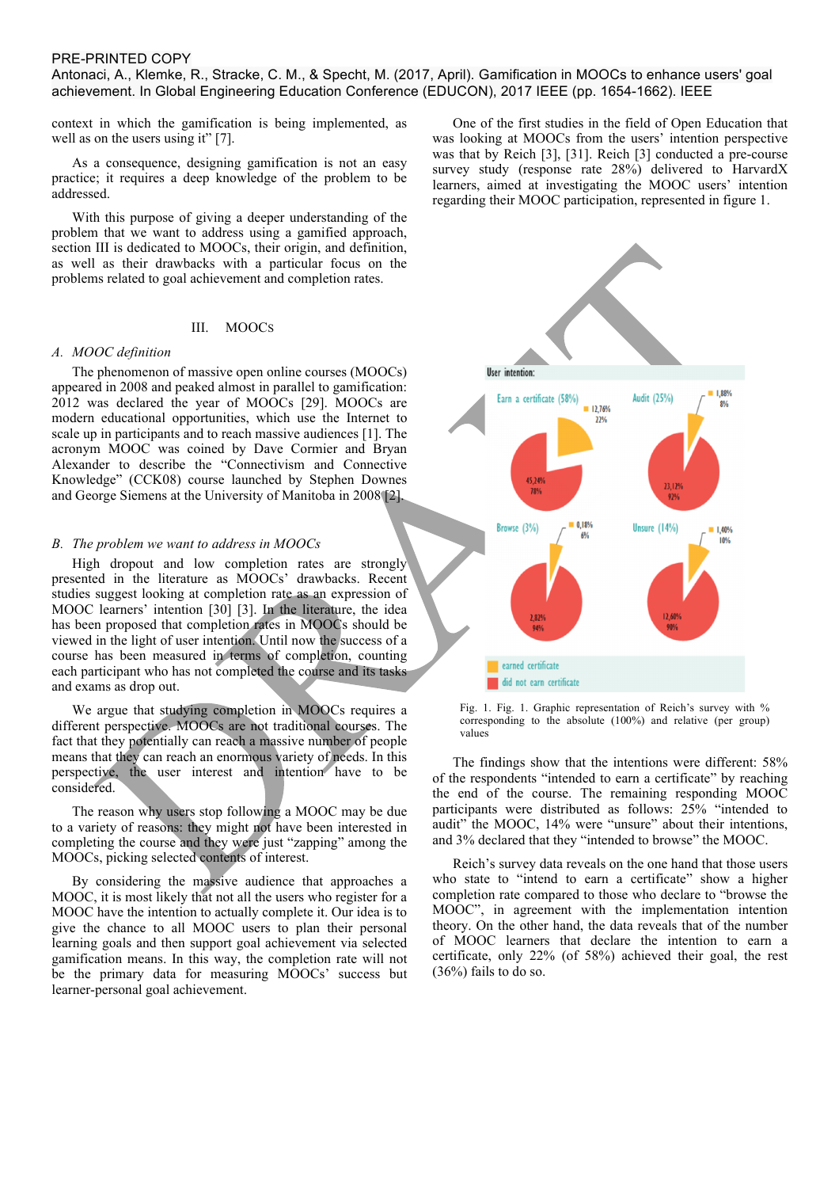Antonaci, A., Klemke, R., Stracke, C. M., & Specht, M. (2017, April). Gamification in MOOCs to enhance users' goal achievement. In Global Engineering Education Conference (EDUCON), 2017 IEEE (pp. 1654-1662). IEEE

context in which the gamification is being implemented, as well as on the users using it" [7].

As a consequence, designing gamification is not an easy practice; it requires a deep knowledge of the problem to be addressed.

With this purpose of giving a deeper understanding of the problem that we want to address using a gamified approach, section III is dedicated to MOOCs, their origin, and definition, as well as their drawbacks with a particular focus on the problems related to goal achievement and completion rates.

#### III. MOOCS

#### *A. MOOC definition*

The phenomenon of massive open online courses (MOOCs) appeared in 2008 and peaked almost in parallel to gamification: 2012 was declared the year of MOOCs [29]. MOOCs are modern educational opportunities, which use the Internet to scale up in participants and to reach massive audiences [1]. The acronym MOOC was coined by Dave Cormier and Bryan Alexander to describe the "Connectivism and Connective Knowledge" (CCK08) course launched by Stephen Downes and George Siemens at the University of Manitoba in 2008 [2].

#### *B. The problem we want to address in MOOCs*

High dropout and low completion rates are strongly presented in the literature as MOOCs' drawbacks. Recent studies suggest looking at completion rate as an expression of MOOC learners' intention [30] [3]. In the literature, the idea has been proposed that completion rates in MOOCs should be viewed in the light of user intention. Until now the success of a course has been measured in terms of completion, counting each participant who has not completed the course and its tasks and exams as drop out.

We argue that studying completion in MOOCs requires a different perspective. MOOCs are not traditional courses. The fact that they potentially can reach a massive number of people means that they can reach an enormous variety of needs. In this perspective, the user interest and intention have to be considered.

The reason why users stop following a MOOC may be due to a variety of reasons: they might not have been interested in completing the course and they were just "zapping" among the MOOCs, picking selected contents of interest.

By considering the massive audience that approaches a MOOC, it is most likely that not all the users who register for a MOOC have the intention to actually complete it. Our idea is to give the chance to all MOOC users to plan their personal learning goals and then support goal achievement via selected gamification means. In this way, the completion rate will not be the primary data for measuring MOOCs' success but learner-personal goal achievement.

One of the first studies in the field of Open Education that was looking at MOOCs from the users' intention perspective was that by Reich [3], [31]. Reich [3] conducted a pre-course survey study (response rate 28%) delivered to HarvardX learners, aimed at investigating the MOOC users' intention regarding their MOOC participation, represented in figure 1.



Fig. 1. Fig. 1. Graphic representation of Reich's survey with % corresponding to the absolute (100%) and relative (per group) values

The findings show that the intentions were different: 58% of the respondents "intended to earn a certificate" by reaching the end of the course. The remaining responding MOOC participants were distributed as follows: 25% "intended to audit" the MOOC, 14% were "unsure" about their intentions, and 3% declared that they "intended to browse" the MOOC.

Reich's survey data reveals on the one hand that those users who state to "intend to earn a certificate" show a higher completion rate compared to those who declare to "browse the MOOC", in agreement with the implementation intention theory. On the other hand, the data reveals that of the number of MOOC learners that declare the intention to earn a certificate, only 22% (of 58%) achieved their goal, the rest (36%) fails to do so.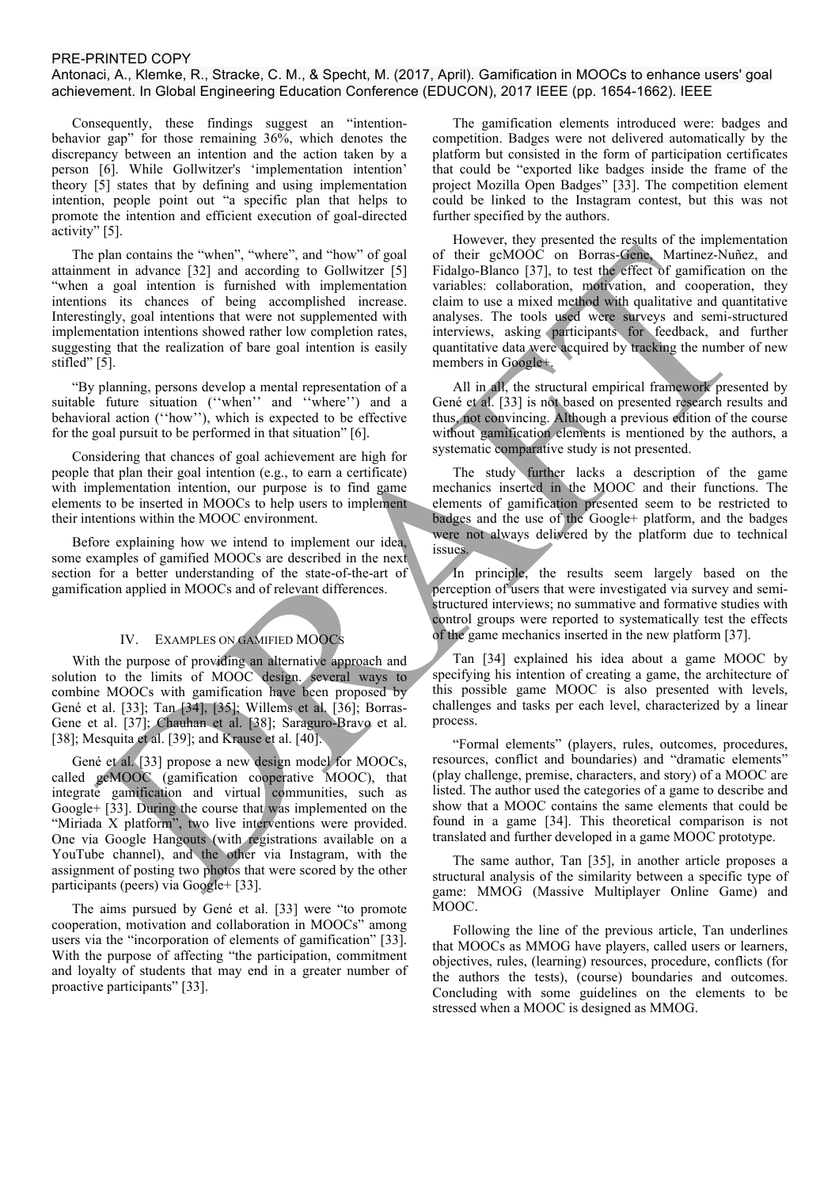### Antonaci, A., Klemke, R., Stracke, C. M., & Specht, M. (2017, April). Gamification in MOOCs to enhance users' goal achievement. In Global Engineering Education Conference (EDUCON), 2017 IEEE (pp. 1654-1662). IEEE

Consequently, these findings suggest an "intentionbehavior gap" for those remaining 36%, which denotes the discrepancy between an intention and the action taken by a person [6]. While Gollwitzer's 'implementation intention' theory [5] states that by defining and using implementation intention, people point out "a specific plan that helps to promote the intention and efficient execution of goal-directed activity" [5].

The plan contains the "when", "where", and "how" of goal attainment in advance [32] and according to Gollwitzer [5] "when a goal intention is furnished with implementation intentions its chances of being accomplished increase. Interestingly, goal intentions that were not supplemented with implementation intentions showed rather low completion rates, suggesting that the realization of bare goal intention is easily stifled" [5].

"By planning, persons develop a mental representation of a suitable future situation (''when'' and ''where'') and a behavioral action (''how''), which is expected to be effective for the goal pursuit to be performed in that situation" [6].

Considering that chances of goal achievement are high for people that plan their goal intention (e.g., to earn a certificate) with implementation intention, our purpose is to find game elements to be inserted in MOOCs to help users to implement their intentions within the MOOC environment.

Before explaining how we intend to implement our idea, some examples of gamified MOOCs are described in the next section for a better understanding of the state-of-the-art of gamification applied in MOOCs and of relevant differences.

# IV. EXAMPLES ON GAMIFIED MOOCS

With the purpose of providing an alternative approach and solution to the limits of MOOC design. several ways to combine MOOCs with gamification have been proposed by Gené et al. [33]; Tan [34], [35]; Willems et al. [36]; Borras-Gene et al. [37]; Chauhan et al. [38]; Saraguro-Bravo et al. [38]; Mesquita et al. [39]; and Krause et al. [40].

Gené et al. [33] propose a new design model for MOOCs, called gcMOOC (gamification cooperative MOOC), that integrate gamification and virtual communities, such as Google+ [33]. During the course that was implemented on the "Miriada X platform", two live interventions were provided. One via Google Hangouts (with registrations available on a YouTube channel), and the other via Instagram, with the assignment of posting two photos that were scored by the other participants (peers) via Google+ [33].

The aims pursued by Gené et al. [33] were "to promote cooperation, motivation and collaboration in MOOCs" among users via the "incorporation of elements of gamification" [33]. With the purpose of affecting "the participation, commitment and loyalty of students that may end in a greater number of proactive participants" [33].

The gamification elements introduced were: badges and competition. Badges were not delivered automatically by the platform but consisted in the form of participation certificates that could be "exported like badges inside the frame of the project Mozilla Open Badges" [33]. The competition element could be linked to the Instagram contest, but this was not further specified by the authors.

However, they presented the results of the implementation of their gcMOOC on Borras-Gene, Martinez-Nuñez, and Fidalgo-Blanco [37], to test the effect of gamification on the variables: collaboration, motivation, and cooperation, they claim to use a mixed method with qualitative and quantitative analyses. The tools used were surveys and semi-structured interviews, asking participants for feedback, and further quantitative data were acquired by tracking the number of new members in Google+.

All in all, the structural empirical framework presented by Gené et al. [33] is not based on presented research results and thus, not convincing. Although a previous edition of the course without gamification elements is mentioned by the authors, a systematic comparative study is not presented.

The study further lacks a description of the game mechanics inserted in the MOOC and their functions. The elements of gamification presented seem to be restricted to badges and the use of the Google+ platform, and the badges were not always delivered by the platform due to technical issues.

In principle, the results seem largely based on the perception of users that were investigated via survey and semistructured interviews; no summative and formative studies with control groups were reported to systematically test the effects of the game mechanics inserted in the new platform [37].

Tan [34] explained his idea about a game MOOC by specifying his intention of creating a game, the architecture of this possible game MOOC is also presented with levels, challenges and tasks per each level, characterized by a linear process.

"Formal elements" (players, rules, outcomes, procedures, resources, conflict and boundaries) and "dramatic elements" (play challenge, premise, characters, and story) of a MOOC are listed. The author used the categories of a game to describe and show that a MOOC contains the same elements that could be found in a game [34]. This theoretical comparison is not translated and further developed in a game MOOC prototype.

The same author, Tan [35], in another article proposes a structural analysis of the similarity between a specific type of game: MMOG (Massive Multiplayer Online Game) and MOOC.

Following the line of the previous article, Tan underlines that MOOCs as MMOG have players, called users or learners, objectives, rules, (learning) resources, procedure, conflicts (for the authors the tests), (course) boundaries and outcomes. Concluding with some guidelines on the elements to be stressed when a MOOC is designed as MMOG.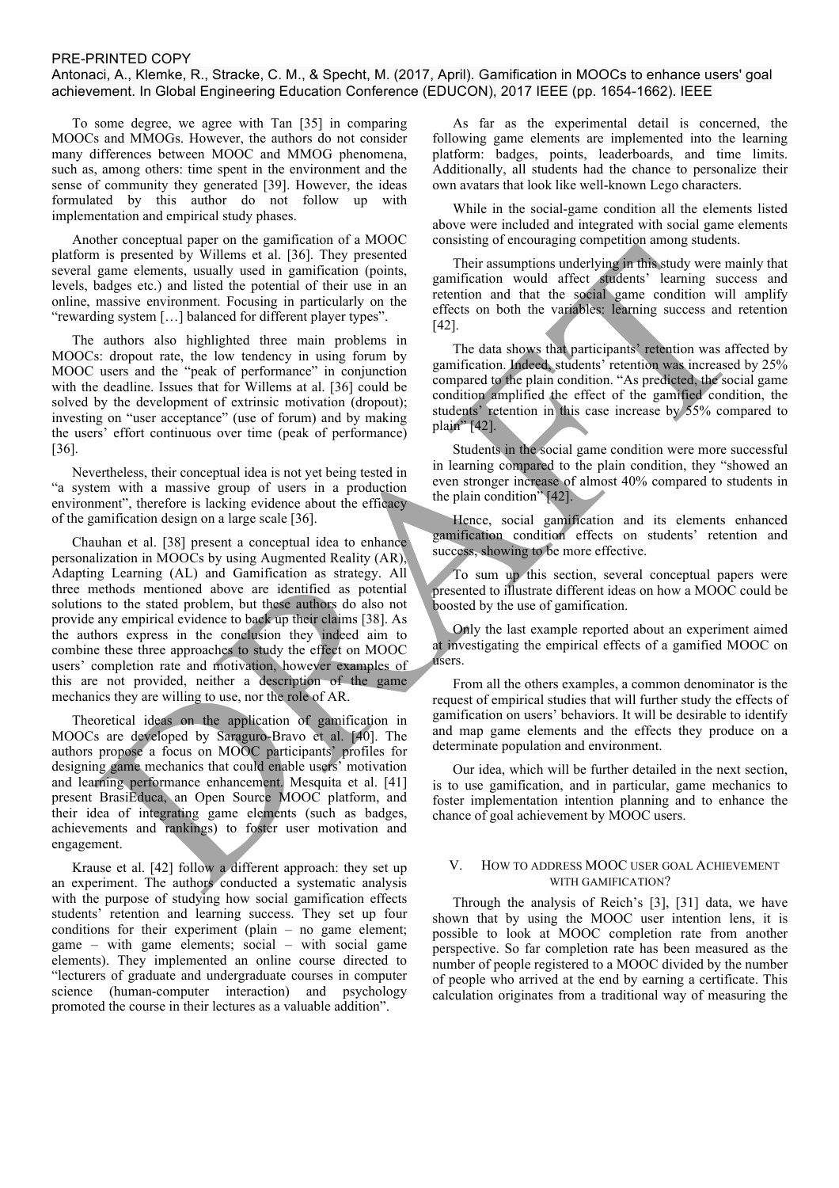Antonaci, A., Klemke, R., Stracke, C. M., & Specht, M. (2017, April). Gamification in MOOCs to enhance users' goal achievement. In Global Engineering Education Conference (EDUCON), 2017 IEEE (pp. 1654-1662). IEEE

To some degree, we agree with Tan [35] in comparing MOOCs and MMOGs. However, the authors do not consider many differences between MOOC and MMOG phenomena, such as, among others: time spent in the environment and the sense of community they generated [39]. However, the ideas formulated by this author do not follow up with implementation and empirical study phases.

Another conceptual paper on the gamification of a MOOC platform is presented by Willems et al. [36]. They presented several game elements, usually used in gamification (points, levels, badges etc.) and listed the potential of their use in an online, massive environment. Focusing in particularly on the "rewarding system […] balanced for different player types".

The authors also highlighted three main problems in MOOCs: dropout rate, the low tendency in using forum by MOOC users and the "peak of performance" in conjunction with the deadline. Issues that for Willems at al. [36] could be solved by the development of extrinsic motivation (dropout); investing on "user acceptance" (use of forum) and by making the users' effort continuous over time (peak of performance) [36].

Nevertheless, their conceptual idea is not yet being tested in "a system with a massive group of users in a production environment", therefore is lacking evidence about the efficacy of the gamification design on a large scale [36].

Chauhan et al. [38] present a conceptual idea to enhance personalization in MOOCs by using Augmented Reality (AR), Adapting Learning (AL) and Gamification as strategy. All three methods mentioned above are identified as potential solutions to the stated problem, but these authors do also not provide any empirical evidence to back up their claims [38]. As the authors express in the conclusion they indeed aim to combine these three approaches to study the effect on MOOC users' completion rate and motivation, however examples of this are not provided, neither a description of the game mechanics they are willing to use, nor the role of AR.

Theoretical ideas on the application of gamification in MOOCs are developed by Saraguro-Bravo et al. [40]. The authors propose a focus on MOOC participants' profiles for designing game mechanics that could enable users' motivation and learning performance enhancement. Mesquita et al. [41] present BrasiEduca, an Open Source MOOC platform, and their idea of integrating game elements (such as badges, achievements and rankings) to foster user motivation and engagement.

Krause et al. [42] follow a different approach: they set up an experiment. The authors conducted a systematic analysis with the purpose of studying how social gamification effects students' retention and learning success. They set up four conditions for their experiment (plain – no game element; game – with game elements; social – with social game elements). They implemented an online course directed to "lecturers of graduate and undergraduate courses in computer science (human-computer interaction) and psychology promoted the course in their lectures as a valuable addition".

As far as the experimental detail is concerned, the following game elements are implemented into the learning platform: badges, points, leaderboards, and time limits. Additionally, all students had the chance to personalize their own avatars that look like well-known Lego characters.

While in the social-game condition all the elements listed above were included and integrated with social game elements consisting of encouraging competition among students.

Their assumptions underlying in this study were mainly that gamification would affect students' learning success and retention and that the social game condition will amplify effects on both the variables: learning success and retention [42].

The data shows that participants' retention was affected by gamification. Indeed, students' retention was increased by 25% compared to the plain condition. "As predicted, the social game condition amplified the effect of the gamified condition, the students' retention in this case increase by 55% compared to plain" [42].

Students in the social game condition were more successful in learning compared to the plain condition, they "showed an even stronger increase of almost 40% compared to students in the plain condition" [42].

Hence, social gamification and its elements enhanced gamification condition effects on students' retention and success, showing to be more effective.

To sum up this section, several conceptual papers were presented to illustrate different ideas on how a MOOC could be boosted by the use of gamification.

Only the last example reported about an experiment aimed at investigating the empirical effects of a gamified MOOC on users.

From all the others examples, a common denominator is the request of empirical studies that will further study the effects of gamification on users' behaviors. It will be desirable to identify and map game elements and the effects they produce on a determinate population and environment.

Our idea, which will be further detailed in the next section, is to use gamification, and in particular, game mechanics to foster implementation intention planning and to enhance the chance of goal achievement by MOOC users.

# V. HOW TO ADDRESS MOOC USER GOAL ACHIEVEMENT WITH GAMIFICATION?

Through the analysis of Reich's [3], [31] data, we have shown that by using the MOOC user intention lens, it is possible to look at MOOC completion rate from another perspective. So far completion rate has been measured as the number of people registered to a MOOC divided by the number of people who arrived at the end by earning a certificate. This calculation originates from a traditional way of measuring the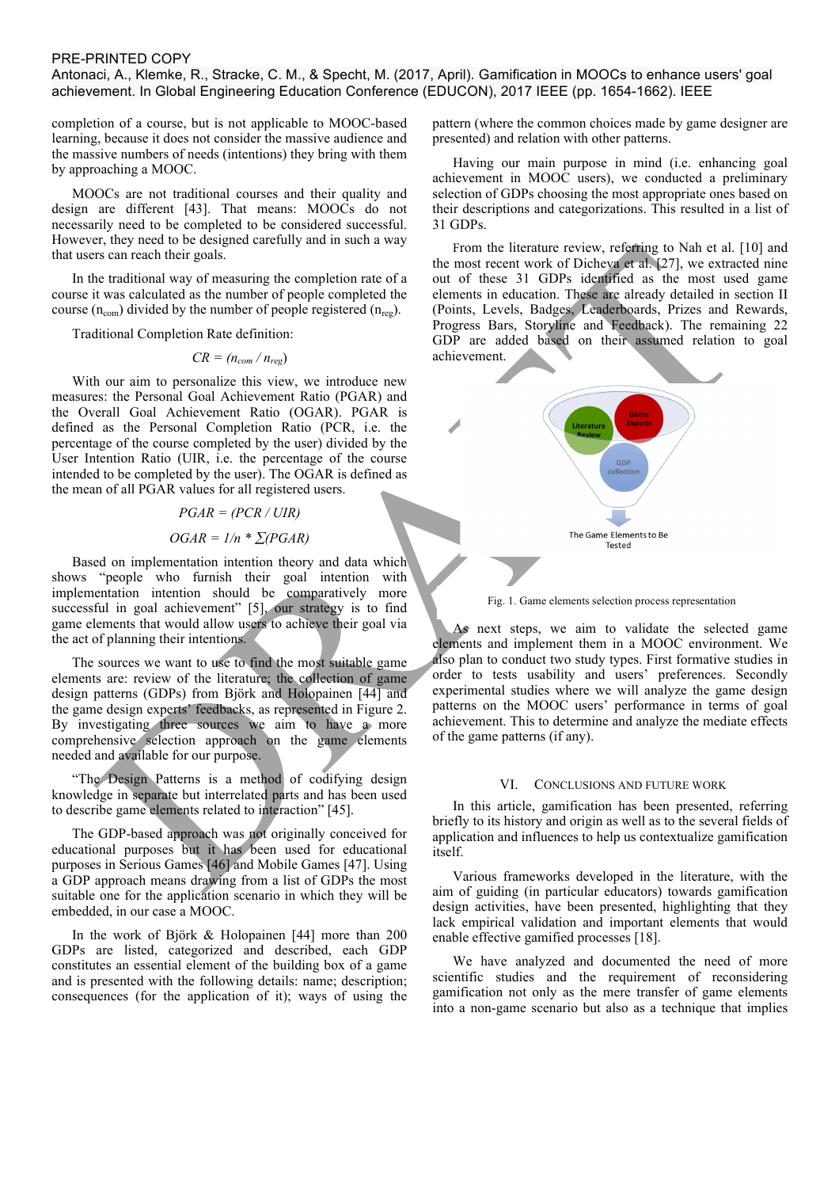Antonaci, A., Klemke, R., Stracke, C. M., & Specht, M. (2017, April). Gamification in MOOCs to enhance users' goal achievement. In Global Engineering Education Conference (EDUCON), 2017 IEEE (pp. 1654-1662). IEEE

completion of a course, but is not applicable to MOOC-based learning, because it does not consider the massive audience and the massive numbers of needs (intentions) they bring with them by approaching a MOOC.

MOOCs are not traditional courses and their quality and design are different [43]. That means: MOOCs do not necessarily need to be completed to be considered successful. However, they need to be designed carefully and in such a way that users can reach their goals.

In the traditional way of measuring the completion rate of a course it was calculated as the number of people completed the course  $(n_{com})$  divided by the number of people registered  $(n_{reg})$ .

Traditional Completion Rate definition:

 $CR = (n_{com}/n_{reg})$ 

With our aim to personalize this view, we introduce new measures: the Personal Goal Achievement Ratio (PGAR) and the Overall Goal Achievement Ratio (OGAR). PGAR is defined as the Personal Completion Ratio (PCR, i.e. the percentage of the course completed by the user) divided by the User Intention Ratio (UIR, i.e. the percentage of the course intended to be completed by the user). The OGAR is defined as the mean of all PGAR values for all registered users.

*PGAR = (PCR / UIR)*

# $OGAR = 1/n * \sum (PGAR)$

Based on implementation intention theory and data which shows "people who furnish their goal intention with implementation intention should be comparatively more successful in goal achievement" [5], our strategy is to find game elements that would allow users to achieve their goal via the act of planning their intentions.

The sources we want to use to find the most suitable game elements are: review of the literature; the collection of game design patterns (GDPs) from Björk and Holopainen [44] and the game design experts' feedbacks, as represented in Figure 2. By investigating three sources we aim to have a more comprehensive selection approach on the game elements needed and available for our purpose.

"The Design Patterns is a method of codifying design knowledge in separate but interrelated parts and has been used to describe game elements related to interaction" [45].

The GDP-based approach was not originally conceived for educational purposes but it has been used for educational purposes in Serious Games [46] and Mobile Games [47]. Using a GDP approach means drawing from a list of GDPs the most suitable one for the application scenario in which they will be embedded, in our case a MOOC.

In the work of Björk & Holopainen [44] more than 200 GDPs are listed, categorized and described, each GDP constitutes an essential element of the building box of a game and is presented with the following details: name; description; consequences (for the application of it); ways of using the pattern (where the common choices made by game designer are presented) and relation with other patterns.

Having our main purpose in mind (i.e. enhancing goal achievement in MOOC users), we conducted a preliminary selection of GDPs choosing the most appropriate ones based on their descriptions and categorizations. This resulted in a list of 31 GDPs.

From the literature review, referring to Nah et al. [10] and the most recent work of Dicheva et al. [27], we extracted nine out of these 31 GDPs identified as the most used game elements in education. These are already detailed in section II (Points, Levels, Badges, Leaderboards, Prizes and Rewards, Progress Bars, Storyline and Feedback). The remaining 22 GDP are added based on their assumed relation to goal achievement.



Fig. 1. Game elements selection process representation

As next steps, we aim to validate the selected game elements and implement them in a MOOC environment. We also plan to conduct two study types. First formative studies in order to tests usability and users' preferences. Secondly experimental studies where we will analyze the game design patterns on the MOOC users' performance in terms of goal achievement. This to determine and analyze the mediate effects of the game patterns (if any).

#### VI. CONCLUSIONS AND FUTURE WORK

In this article, gamification has been presented, referring briefly to its history and origin as well as to the several fields of application and influences to help us contextualize gamification itself.

Various frameworks developed in the literature, with the aim of guiding (in particular educators) towards gamification design activities, have been presented, highlighting that they lack empirical validation and important elements that would enable effective gamified processes [18].

We have analyzed and documented the need of more scientific studies and the requirement of reconsidering gamification not only as the mere transfer of game elements into a non-game scenario but also as a technique that implies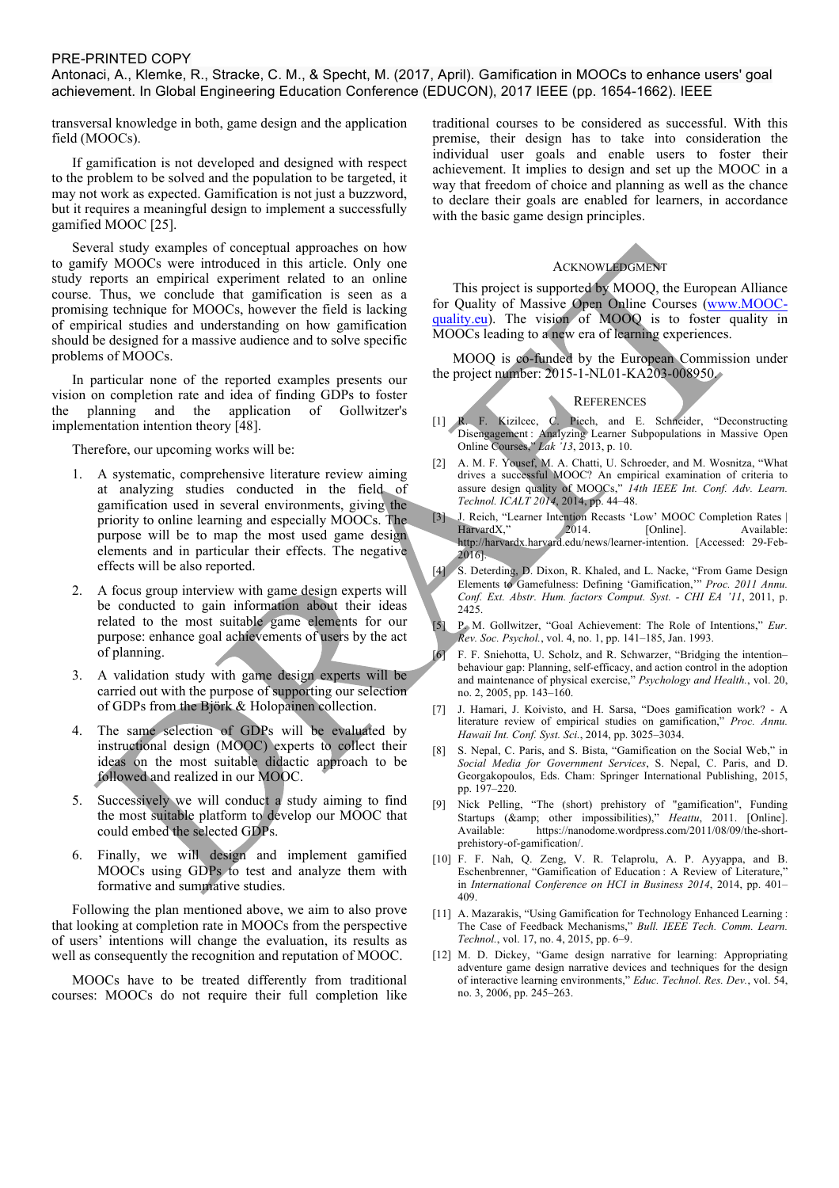Antonaci, A., Klemke, R., Stracke, C. M., & Specht, M. (2017, April). Gamification in MOOCs to enhance users' goal achievement. In Global Engineering Education Conference (EDUCON), 2017 IEEE (pp. 1654-1662). IEEE

transversal knowledge in both, game design and the application field (MOOCs).

If gamification is not developed and designed with respect to the problem to be solved and the population to be targeted, it may not work as expected. Gamification is not just a buzzword, but it requires a meaningful design to implement a successfully gamified MOOC [25].

Several study examples of conceptual approaches on how to gamify MOOCs were introduced in this article. Only one study reports an empirical experiment related to an online course. Thus, we conclude that gamification is seen as a promising technique for MOOCs, however the field is lacking of empirical studies and understanding on how gamification should be designed for a massive audience and to solve specific problems of MOOCs.

In particular none of the reported examples presents our vision on completion rate and idea of finding GDPs to foster the planning and the application of Gollwitzer's implementation intention theory [48].

Therefore, our upcoming works will be:

- 1. A systematic, comprehensive literature review aiming at analyzing studies conducted in the field of gamification used in several environments, giving the priority to online learning and especially MOOCs. The purpose will be to map the most used game design elements and in particular their effects. The negative effects will be also reported.
- 2. A focus group interview with game design experts will be conducted to gain information about their ideas related to the most suitable game elements for our purpose: enhance goal achievements of users by the act of planning.
- 3. A validation study with game design experts will be carried out with the purpose of supporting our selection of GDPs from the Björk & Holopainen collection.
- 4. The same selection of GDPs will be evaluated by instructional design (MOOC) experts to collect their ideas on the most suitable didactic approach to be followed and realized in our MOOC.
- 5. Successively we will conduct a study aiming to find the most suitable platform to develop our MOOC that could embed the selected GDPs.
- 6. Finally, we will design and implement gamified MOOCs using GDPs to test and analyze them with formative and summative studies.

Following the plan mentioned above, we aim to also prove that looking at completion rate in MOOCs from the perspective of users' intentions will change the evaluation, its results as well as consequently the recognition and reputation of MOOC.

MOOCs have to be treated differently from traditional courses: MOOCs do not require their full completion like traditional courses to be considered as successful. With this premise, their design has to take into consideration the individual user goals and enable users to foster their achievement. It implies to design and set up the MOOC in a way that freedom of choice and planning as well as the chance to declare their goals are enabled for learners, in accordance with the basic game design principles.

# ACKNOWLEDGMENT

This project is supported by MOOQ, the European Alliance for Quality of Massive Open Online Courses (www.MOOCquality.eu). The vision of MOOQ is to foster quality in MOOCs leading to a new era of learning experiences.

MOOQ is co-funded by the European Commission under the project number: 2015-1-NL01-KA203-008950.

#### **REFERENCES**

- [1] R. F. Kizilcec, C. Piech, and E. Schneider, "Deconstructing Disengagement : Analyzing Learner Subpopulations in Massive Open Online Courses," *Lak '13*, 2013, p. 10.
- [2] A. M. F. Yousef, M. A. Chatti, U. Schroeder, and M. Wosnitza, "What drives a successful MOOC? An empirical examination of criteria to assure design quality of MOOCs," *14th IEEE Int. Conf. Adv. Learn. Technol. ICALT 2014*, 2014, pp. 44–48.
- [3] J. Reich, "Learner Intention Recasts 'Low' MOOC Completion Rates | HarvardX," 2014. [Online]. Available: http://harvardx.harvard.edu/news/learner-intention. [Accessed: 29-Feb-2016].
- [4] S. Deterding, D. Dixon, R. Khaled, and L. Nacke, "From Game Design Elements to Gamefulness: Defining 'Gamification,'" *Proc. 2011 Annu. Conf. Ext. Abstr. Hum. factors Comput. Syst. - CHI EA '11*, 2011, p. 2425.
- [5] P. M. Gollwitzer, "Goal Achievement: The Role of Intentions," *Eur. Rev. Soc. Psychol.*, vol. 4, no. 1, pp. 141–185, Jan. 1993.

[6] F. F. Sniehotta, U. Scholz, and R. Schwarzer, "Bridging the intention– behaviour gap: Planning, self-efficacy, and action control in the adoption and maintenance of physical exercise," *Psychology and Health.*, vol. 20, no. 2, 2005, pp. 143–160.

- [7] J. Hamari, J. Koivisto, and H. Sarsa, "Does gamification work? A literature review of empirical studies on gamification," *Proc. Annu. Hawaii Int. Conf. Syst. Sci.*, 2014, pp. 3025–3034.
- [8] S. Nepal, C. Paris, and S. Bista, "Gamification on the Social Web," in *Social Media for Government Services*, S. Nepal, C. Paris, and D. Georgakopoulos, Eds. Cham: Springer International Publishing, 2015, pp. 197–220.
- [9] Nick Pelling, "The (short) prehistory of "gamification", Funding Startups (& other impossibilities)," *Heattu*, 2011. [Online]. Available: https://nanodome.wordpress.com/2011/08/09/the-shortprehistory-of-gamification/.
- [10] F. F. Nah, Q. Zeng, V. R. Telaprolu, A. P. Ayyappa, and B. Eschenbrenner, "Gamification of Education : A Review of Literature," in *International Conference on HCI in Business 2014*, 2014, pp. 401– 409.
- [11] A. Mazarakis, "Using Gamification for Technology Enhanced Learning : The Case of Feedback Mechanisms," *Bull. IEEE Tech. Comm. Learn. Technol.*, vol. 17, no. 4, 2015, pp. 6–9.
- [12] M. D. Dickey, "Game design narrative for learning: Appropriating adventure game design narrative devices and techniques for the design of interactive learning environments," *Educ. Technol. Res. Dev.*, vol. 54, no. 3, 2006, pp. 245–263.